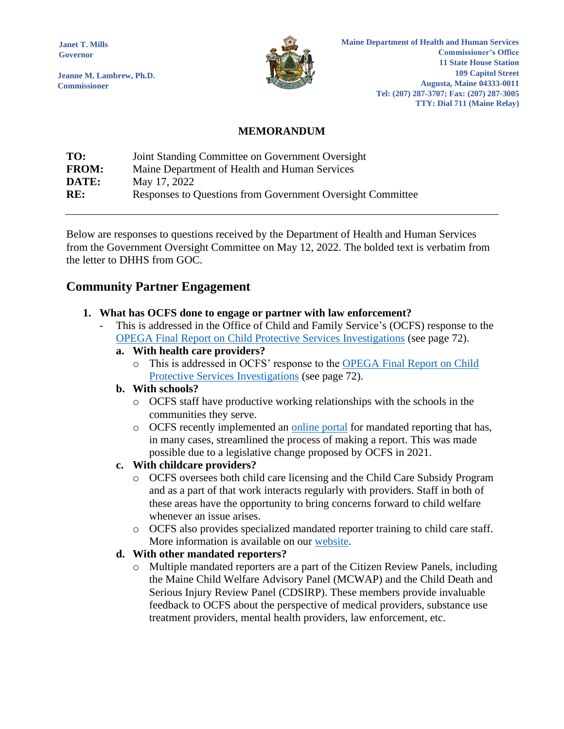**Janet T. Mills Governor**

**Jeanne M. Lambrew, Ph.D. Commissioner**



**Maine Department of Health and Human Services Commissioner's Office 11 State House Station 109 Capitol Street Augusta, Maine 04333-0011 Tel: (207) 287-3707; Fax: (207) 287-3005 TTY: Dial 711 (Maine Relay)**

## **MEMORANDUM**

| TO:          | Joint Standing Committee on Government Oversight           |
|--------------|------------------------------------------------------------|
| <b>FROM:</b> | Maine Department of Health and Human Services              |
| DATE:        | May 17, 2022                                               |
| RE:          | Responses to Questions from Government Oversight Committee |

Below are responses to questions received by the Department of Health and Human Services from the Government Oversight Committee on May 12, 2022. The bolded text is verbatim from the letter to DHHS from GOC.

## **Community Partner Engagement**

### **1. What has OCFS done to engage or partner with law enforcement?**

This is addressed in the Office of Child and Family Service's (OCFS) response to the [OPEGA Final Report on Child Protective Services Investigations](https://legislature.maine.gov/doc/8493) (see page 72).

## **a. With health care providers?**

o This is addressed in OCFS' response to the [OPEGA Final Report on](https://legislature.maine.gov/doc/8493) Child [Protective Services](https://legislature.maine.gov/doc/8493) Investigations (see page 72).

#### **b. With schools?**

- o OCFS staff have productive working relationships with the schools in the communities they serve.
- o OCFS recently implemented an [online portal](https://www.maine.gov/tools/whatsnew/index.php?topic=DHS+Press+Releases&id=7420285&v=dhhs_article_2020) for mandated reporting that has, in many cases, streamlined the process of making a report. This was made possible due to a legislative change proposed by OCFS in 2021.

## **c. With childcare providers?**

- o OCFS oversees both child care licensing and the Child Care Subsidy Program and as a part of that work interacts regularly with providers. Staff in both of these areas have the opportunity to bring concerns forward to child welfare whenever an issue arises.
- o OCFS also provides specialized mandated reporter training to child care staff. More information is available on our [website.](https://www.maine.gov/dhhs/ocfs/provider-resources/reporting-suspected-child-abuse-and-neglect/mandated-reporter-information)

## **d. With other mandated reporters?**

o Multiple mandated reporters are a part of the Citizen Review Panels, including the Maine Child Welfare Advisory Panel (MCWAP) and the Child Death and Serious Injury Review Panel (CDSIRP). These members provide invaluable feedback to OCFS about the perspective of medical providers, substance use treatment providers, mental health providers, law enforcement, etc.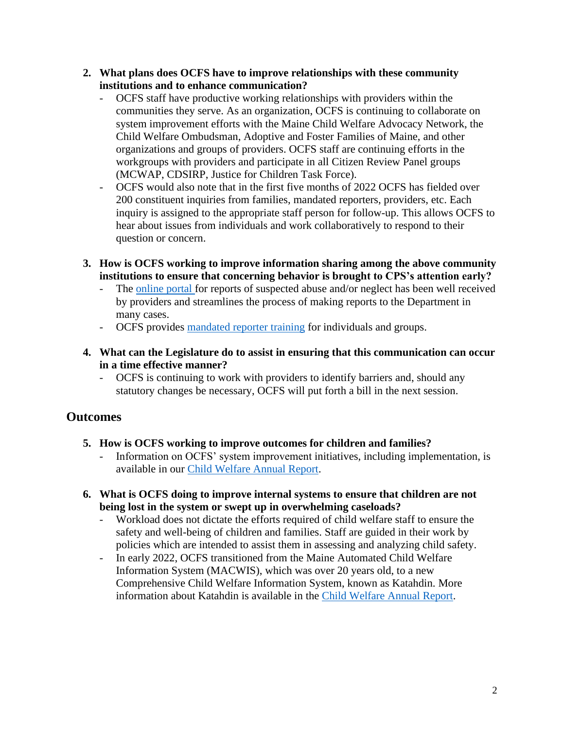- **2. What plans does OCFS have to improve relationships with these community institutions and to enhance communication?**
	- OCFS staff have productive working relationships with providers within the communities they serve. As an organization, OCFS is continuing to collaborate on system improvement efforts with the Maine Child Welfare Advocacy Network, the Child Welfare Ombudsman, Adoptive and Foster Families of Maine, and other organizations and groups of providers. OCFS staff are continuing efforts in the workgroups with providers and participate in all Citizen Review Panel groups (MCWAP, CDSIRP, Justice for Children Task Force).
	- OCFS would also note that in the first five months of 2022 OCFS has fielded over 200 constituent inquiries from families, mandated reporters, providers, etc. Each inquiry is assigned to the appropriate staff person for follow-up. This allows OCFS to hear about issues from individuals and work collaboratively to respond to their question or concern.
- **3. How is OCFS working to improve information sharing among the above community institutions to ensure that concerning behavior is brought to CPS's attention early?**
	- The [online portal f](https://www.maine.gov/tools/whatsnew/index.php?topic=DHS+Press+Releases&id=7420285&v=dhhs_article_2020)or reports of suspected abuse and/or neglect has been well received by providers and streamlines the process of making reports to the Department in many cases.
	- OCFS provides [mandated reporter training](https://www.maine.gov/dhhs/ocfs/provider-resources/reporting-suspected-child-abuse-and-neglect/mandated-reporter-information) for individuals and groups.
- **4. What can the Legislature do to assist in ensuring that this communication can occur in a time effective manner?**
	- OCFS is continuing to work with providers to identify barriers and, should any statutory changes be necessary, OCFS will put forth a bill in the next session.

## **Outcomes**

- **5. How is OCFS working to improve outcomes for children and families?**
	- Information on OCFS' system improvement initiatives, including implementation, is available in our [Child Welfare Annual Report.](https://www.maine.gov/dhhs/sites/maine.gov.dhhs/files/inline-files/2021%20Child%20Welfare%20Annual%20Report.pdf)
- **6. What is OCFS doing to improve internal systems to ensure that children are not being lost in the system or swept up in overwhelming caseloads?**
	- Workload does not dictate the efforts required of child welfare staff to ensure the safety and well-being of children and families. Staff are guided in their work by policies which are intended to assist them in assessing and analyzing child safety.
	- In early 2022, OCFS transitioned from the Maine Automated Child Welfare Information System (MACWIS), which was over 20 years old, to a new Comprehensive Child Welfare Information System, known as Katahdin. More information about Katahdin is available in the [Child Welfare Annual Report.](https://www.maine.gov/dhhs/sites/maine.gov.dhhs/files/inline-files/2021%20Child%20Welfare%20Annual%20Report.pdf)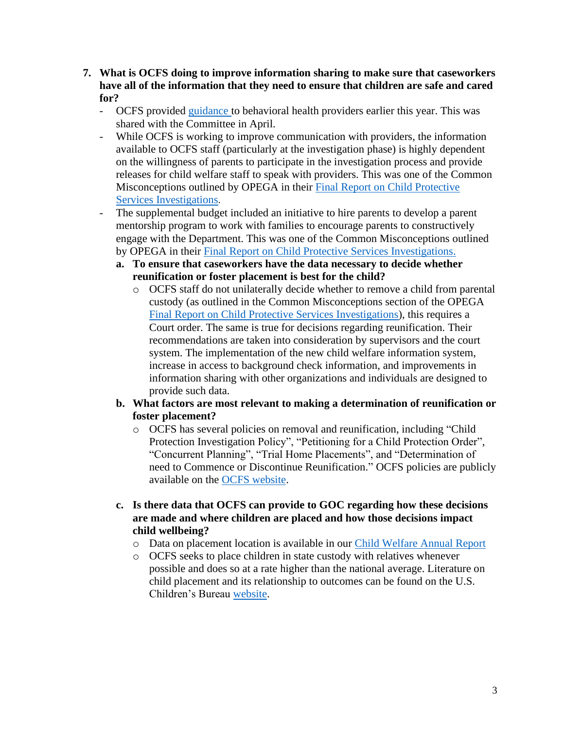- **7. What is OCFS doing to improve information sharing to make sure that caseworkers have all of the information that they need to ensure that children are safe and cared for?**
	- OCFS provided [guidance t](https://www.maine.gov/dhhs/sites/maine.gov.dhhs/files/inline-files/Guidance%20for%20Behavioral%20Health%20Providers%20FINAL.pdf?utm_medium=email&utm_source=govdelivery)o behavioral health providers earlier this year. This was shared with the Committee in April.
	- While OCFS is working to improve communication with providers, the information available to OCFS staff (particularly at the investigation phase) is highly dependent on the willingness of parents to participate in the investigation process and provide releases for child welfare staff to speak with providers. This was one of the Common Misconceptions outlined by OPEGA in their [Final Report on Child Protective](https://legislature.maine.gov/doc/8493)  [Services Investigations](https://legislature.maine.gov/doc/8493).
	- The supplemental budget included an initiative to hire parents to develop a parent mentorship program to work with families to encourage parents to constructively engage with the Department. This was one of the Common Misconceptions outlined by OPEGA in their [Final Report on Child Protective Services Investigations.](https://legislature.maine.gov/doc/8493)
		- **a. To ensure that caseworkers have the data necessary to decide whether reunification or foster placement is best for the child?**
			- o OCFS staff do not unilaterally decide whether to remove a child from parental custody (as outlined in the Common Misconceptions section of the OPEGA [Final Report on Child Protective Services Investigations\)](https://legislature.maine.gov/doc/8493), this requires a Court order. The same is true for decisions regarding reunification. Their recommendations are taken into consideration by supervisors and the court system. The implementation of the new child welfare information system, increase in access to background check information, and improvements in information sharing with other organizations and individuals are designed to provide such data.
		- **b. What factors are most relevant to making a determination of reunification or foster placement?**
			- o OCFS has several policies on removal and reunification, including "Child Protection Investigation Policy", "Petitioning for a Child Protection Order", "Concurrent Planning", "Trial Home Placements", and "Determination of need to Commence or Discontinue Reunification." OCFS policies are publicly available on the [OCFS website.](https://www.maine.gov/dhhs/ocfs/about-us/child-and-family-policy)
		- **c. Is there data that OCFS can provide to GOC regarding how these decisions are made and where children are placed and how those decisions impact child wellbeing?**
			- o Data on placement location is available in our [Child Welfare Annual Report](https://www.maine.gov/dhhs/sites/maine.gov.dhhs/files/inline-files/2021%20Child%20Welfare%20Annual%20Report.pdf)
			- o OCFS seeks to place children in state custody with relatives whenever possible and does so at a rate higher than the national average. Literature on child placement and its relationship to outcomes can be found on the U.S. Children's Bureau [website.](https://www.childwelfare.gov/topics/systemwide/youth/outcomes/research/)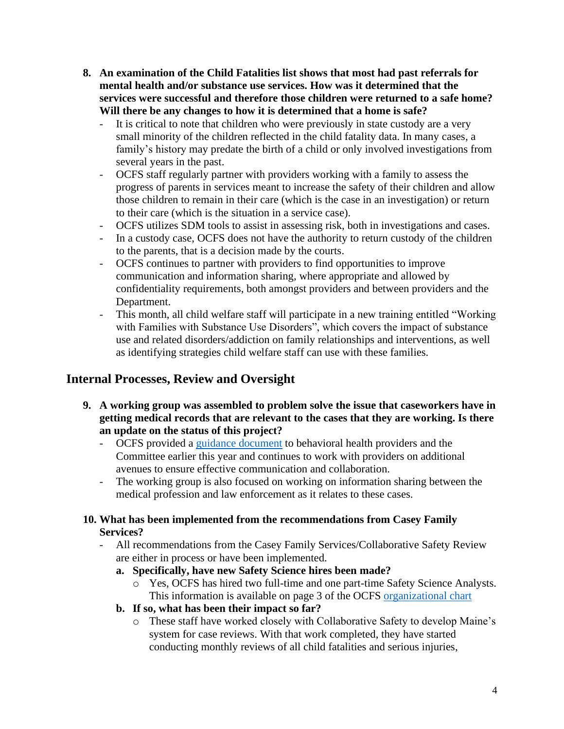- **8. An examination of the Child Fatalities list shows that most had past referrals for mental health and/or substance use services. How was it determined that the services were successful and therefore those children were returned to a safe home? Will there be any changes to how it is determined that a home is safe?**
	- It is critical to note that children who were previously in state custody are a very small minority of the children reflected in the child fatality data. In many cases, a family's history may predate the birth of a child or only involved investigations from several years in the past.
	- OCFS staff regularly partner with providers working with a family to assess the progress of parents in services meant to increase the safety of their children and allow those children to remain in their care (which is the case in an investigation) or return to their care (which is the situation in a service case).
	- OCFS utilizes SDM tools to assist in assessing risk, both in investigations and cases.
	- In a custody case, OCFS does not have the authority to return custody of the children to the parents, that is a decision made by the courts.
	- OCFS continues to partner with providers to find opportunities to improve communication and information sharing, where appropriate and allowed by confidentiality requirements, both amongst providers and between providers and the Department.
	- This month, all child welfare staff will participate in a new training entitled "Working with Families with Substance Use Disorders", which covers the impact of substance use and related disorders/addiction on family relationships and interventions, as well as identifying strategies child welfare staff can use with these families.

# **Internal Processes, Review and Oversight**

- **9. A working group was assembled to problem solve the issue that caseworkers have in getting medical records that are relevant to the cases that they are working. Is there an update on the status of this project?**
	- OCFS provided a [guidance document](https://www.maine.gov/dhhs/sites/maine.gov.dhhs/files/inline-files/Guidance%20for%20Behavioral%20Health%20Providers%20FINAL.pdf?utm_medium=email&utm_source=govdelivery) to behavioral health providers and the Committee earlier this year and continues to work with providers on additional avenues to ensure effective communication and collaboration.
	- The working group is also focused on working on information sharing between the medical profession and law enforcement as it relates to these cases.

## **10. What has been implemented from the recommendations from Casey Family Services?**

- All recommendations from the Casey Family Services/Collaborative Safety Review are either in process or have been implemented.
	- **a. Specifically, have new Safety Science hires been made?**
		- o Yes, OCFS has hired two full-time and one part-time Safety Science Analysts. This information is available on page 3 of the OCFS [organizational chart](https://www.maine.gov/dhhs/sites/maine.gov.dhhs/files/inline-files/May%202022%20CO%20Org%20Chart.pdf)
	- **b. If so, what has been their impact so far?**
		- o These staff have worked closely with Collaborative Safety to develop Maine's system for case reviews. With that work completed, they have started conducting monthly reviews of all child fatalities and serious injuries,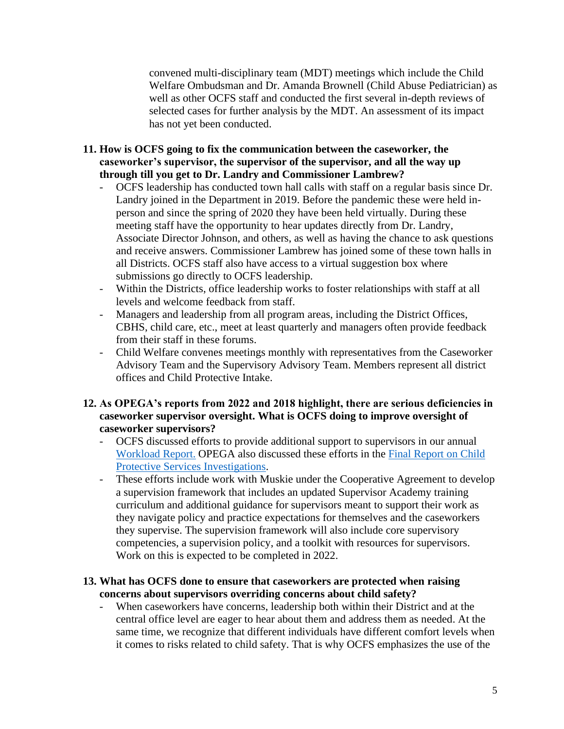convened multi-disciplinary team (MDT) meetings which include the Child Welfare Ombudsman and Dr. Amanda Brownell (Child Abuse Pediatrician) as well as other OCFS staff and conducted the first several in-depth reviews of selected cases for further analysis by the MDT. An assessment of its impact has not yet been conducted.

- **11. How is OCFS going to fix the communication between the caseworker, the caseworker's supervisor, the supervisor of the supervisor, and all the way up through till you get to Dr. Landry and Commissioner Lambrew?**
	- OCFS leadership has conducted town hall calls with staff on a regular basis since Dr. Landry joined in the Department in 2019. Before the pandemic these were held inperson and since the spring of 2020 they have been held virtually. During these meeting staff have the opportunity to hear updates directly from Dr. Landry, Associate Director Johnson, and others, as well as having the chance to ask questions and receive answers. Commissioner Lambrew has joined some of these town halls in all Districts. OCFS staff also have access to a virtual suggestion box where submissions go directly to OCFS leadership.
	- Within the Districts, office leadership works to foster relationships with staff at all levels and welcome feedback from staff.
	- Managers and leadership from all program areas, including the District Offices, CBHS, child care, etc., meet at least quarterly and managers often provide feedback from their staff in these forums.
	- Child Welfare convenes meetings monthly with representatives from the Caseworker Advisory Team and the Supervisory Advisory Team. Members represent all district offices and Child Protective Intake.

## **12. As OPEGA's reports from 2022 and 2018 highlight, there are serious deficiencies in caseworker supervisor oversight. What is OCFS doing to improve oversight of caseworker supervisors?**

- OCFS discussed efforts to provide additional support to supervisors in our annual [Workload Report.](https://www.maine.gov/dhhs/sites/maine.gov.dhhs/files/inline-files/2021%20OCFS%20Workload%20Report_1.pdf) OPEGA also discussed these efforts in the [Final Report on Child](https://legislature.maine.gov/doc/8493)  [Protective Services Investigations.](https://legislature.maine.gov/doc/8493)
- These efforts include work with Muskie under the Cooperative Agreement to develop a supervision framework that includes an updated Supervisor Academy training curriculum and additional guidance for supervisors meant to support their work as they navigate policy and practice expectations for themselves and the caseworkers they supervise. The supervision framework will also include core supervisory competencies, a supervision policy, and a toolkit with resources for supervisors. Work on this is expected to be completed in 2022.

### **13. What has OCFS done to ensure that caseworkers are protected when raising concerns about supervisors overriding concerns about child safety?**

- When caseworkers have concerns, leadership both within their District and at the central office level are eager to hear about them and address them as needed. At the same time, we recognize that different individuals have different comfort levels when it comes to risks related to child safety. That is why OCFS emphasizes the use of the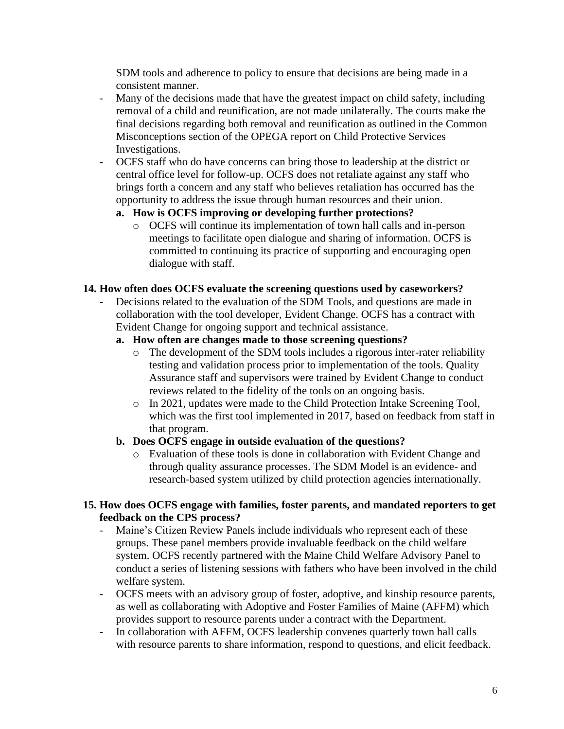SDM tools and adherence to policy to ensure that decisions are being made in a consistent manner.

- Many of the decisions made that have the greatest impact on child safety, including removal of a child and reunification, are not made unilaterally. The courts make the final decisions regarding both removal and reunification as outlined in the Common Misconceptions section of the OPEGA report on Child Protective Services Investigations.
- OCFS staff who do have concerns can bring those to leadership at the district or central office level for follow-up. OCFS does not retaliate against any staff who brings forth a concern and any staff who believes retaliation has occurred has the opportunity to address the issue through human resources and their union.

## **a. How is OCFS improving or developing further protections?**

o OCFS will continue its implementation of town hall calls and in-person meetings to facilitate open dialogue and sharing of information. OCFS is committed to continuing its practice of supporting and encouraging open dialogue with staff.

#### **14. How often does OCFS evaluate the screening questions used by caseworkers?**

Decisions related to the evaluation of the SDM Tools, and questions are made in collaboration with the tool developer, Evident Change. OCFS has a contract with Evident Change for ongoing support and technical assistance.

### **a. How often are changes made to those screening questions?**

- o The development of the SDM tools includes a rigorous inter-rater reliability testing and validation process prior to implementation of the tools. Quality Assurance staff and supervisors were trained by Evident Change to conduct reviews related to the fidelity of the tools on an ongoing basis.
- o In 2021, updates were made to the Child Protection Intake Screening Tool, which was the first tool implemented in 2017, based on feedback from staff in that program.

### **b. Does OCFS engage in outside evaluation of the questions?**

o Evaluation of these tools is done in collaboration with Evident Change and through quality assurance processes. The SDM Model is an evidence- and research-based system utilized by child protection agencies internationally.

### **15. How does OCFS engage with families, foster parents, and mandated reporters to get feedback on the CPS process?**

- Maine's Citizen Review Panels include individuals who represent each of these groups. These panel members provide invaluable feedback on the child welfare system. OCFS recently partnered with the Maine Child Welfare Advisory Panel to conduct a series of listening sessions with fathers who have been involved in the child welfare system.
- OCFS meets with an advisory group of foster, adoptive, and kinship resource parents, as well as collaborating with Adoptive and Foster Families of Maine (AFFM) which provides support to resource parents under a contract with the Department.
- In collaboration with AFFM, OCFS leadership convenes quarterly town hall calls with resource parents to share information, respond to questions, and elicit feedback.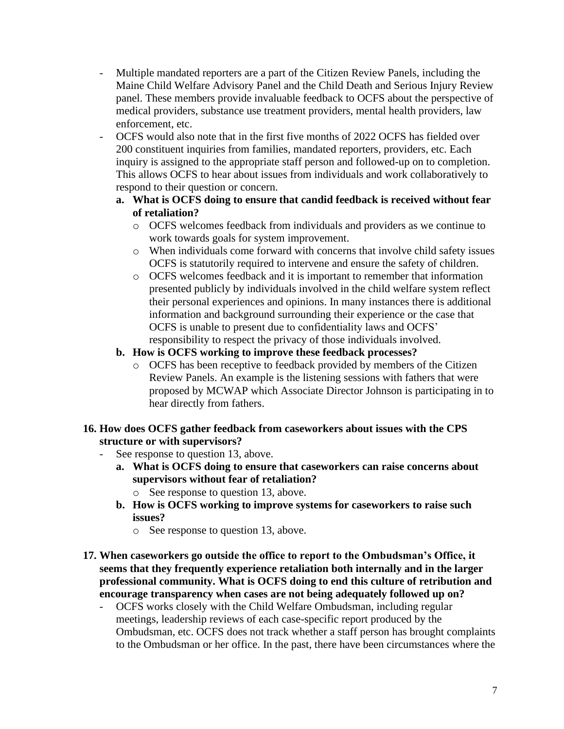- Multiple mandated reporters are a part of the Citizen Review Panels, including the Maine Child Welfare Advisory Panel and the Child Death and Serious Injury Review panel. These members provide invaluable feedback to OCFS about the perspective of medical providers, substance use treatment providers, mental health providers, law enforcement, etc.
- OCFS would also note that in the first five months of 2022 OCFS has fielded over 200 constituent inquiries from families, mandated reporters, providers, etc. Each inquiry is assigned to the appropriate staff person and followed-up on to completion. This allows OCFS to hear about issues from individuals and work collaboratively to respond to their question or concern.

## **a. What is OCFS doing to ensure that candid feedback is received without fear of retaliation?**

- o OCFS welcomes feedback from individuals and providers as we continue to work towards goals for system improvement.
- o When individuals come forward with concerns that involve child safety issues OCFS is statutorily required to intervene and ensure the safety of children.
- o OCFS welcomes feedback and it is important to remember that information presented publicly by individuals involved in the child welfare system reflect their personal experiences and opinions. In many instances there is additional information and background surrounding their experience or the case that OCFS is unable to present due to confidentiality laws and OCFS' responsibility to respect the privacy of those individuals involved.

## **b. How is OCFS working to improve these feedback processes?**

o OCFS has been receptive to feedback provided by members of the Citizen Review Panels. An example is the listening sessions with fathers that were proposed by MCWAP which Associate Director Johnson is participating in to hear directly from fathers.

## **16. How does OCFS gather feedback from caseworkers about issues with the CPS structure or with supervisors?**

- See response to question 13, above.
	- **a. What is OCFS doing to ensure that caseworkers can raise concerns about supervisors without fear of retaliation?**
		- o See response to question 13, above.
	- **b. How is OCFS working to improve systems for caseworkers to raise such issues?**
		- o See response to question 13, above.
- **17. When caseworkers go outside the office to report to the Ombudsman's Office, it seems that they frequently experience retaliation both internally and in the larger professional community. What is OCFS doing to end this culture of retribution and encourage transparency when cases are not being adequately followed up on?**
	- OCFS works closely with the Child Welfare Ombudsman, including regular meetings, leadership reviews of each case-specific report produced by the Ombudsman, etc. OCFS does not track whether a staff person has brought complaints to the Ombudsman or her office. In the past, there have been circumstances where the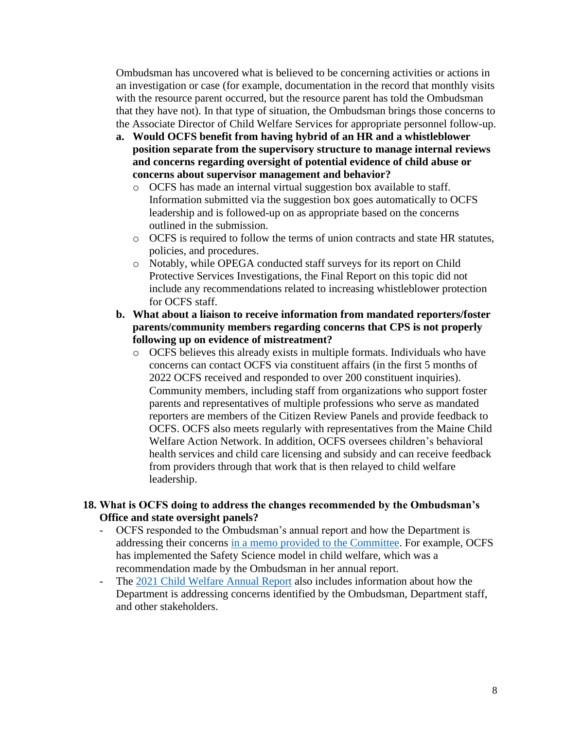Ombudsman has uncovered what is believed to be concerning activities or actions in an investigation or case (for example, documentation in the record that monthly visits with the resource parent occurred, but the resource parent has told the Ombudsman that they have not). In that type of situation, the Ombudsman brings those concerns to the Associate Director of Child Welfare Services for appropriate personnel follow-up.

- **a. Would OCFS benefit from having hybrid of an HR and a whistleblower position separate from the supervisory structure to manage internal reviews and concerns regarding oversight of potential evidence of child abuse or concerns about supervisor management and behavior?**
	- o OCFS has made an internal virtual suggestion box available to staff. Information submitted via the suggestion box goes automatically to OCFS leadership and is followed-up on as appropriate based on the concerns outlined in the submission.
	- o OCFS is required to follow the terms of union contracts and state HR statutes, policies, and procedures.
	- o Notably, while OPEGA conducted staff surveys for its report on Child Protective Services Investigations, the Final Report on this topic did not include any recommendations related to increasing whistleblower protection for OCFS staff.
- **b. What about a liaison to receive information from mandated reporters/foster parents/community members regarding concerns that CPS is not properly following up on evidence of mistreatment?**
	- o OCFS believes this already exists in multiple formats. Individuals who have concerns can contact OCFS via constituent affairs (in the first 5 months of 2022 OCFS received and responded to over 200 constituent inquiries). Community members, including staff from organizations who support foster parents and representatives of multiple professions who serve as mandated reporters are members of the Citizen Review Panels and provide feedback to OCFS. OCFS also meets regularly with representatives from the Maine Child Welfare Action Network. In addition, OCFS oversees children's behavioral health services and child care licensing and subsidy and can receive feedback from providers through that work that is then relayed to child welfare leadership.

### **18. What is OCFS doing to address the changes recommended by the Ombudsman's Office and state oversight panels?**

- OCFS responded to the Ombudsman's annual report and how the Department is addressing their concerns [in a memo provided to the Committee.](https://www.maine.gov/dhhs/sites/maine.gov.dhhs/files/inline-files/OCFS%20Response%20to%20Ombudsman%202021%20Annual%20Report.pdf) For example, OCFS has implemented the Safety Science model in child welfare, which was a recommendation made by the Ombudsman in her annual report.
- The [2021 Child Welfare Annual Report](https://www.maine.gov/dhhs/sites/maine.gov.dhhs/files/inline-files/2021%20Child%20Welfare%20Annual%20Report.pdf) also includes information about how the Department is addressing concerns identified by the Ombudsman, Department staff, and other stakeholders.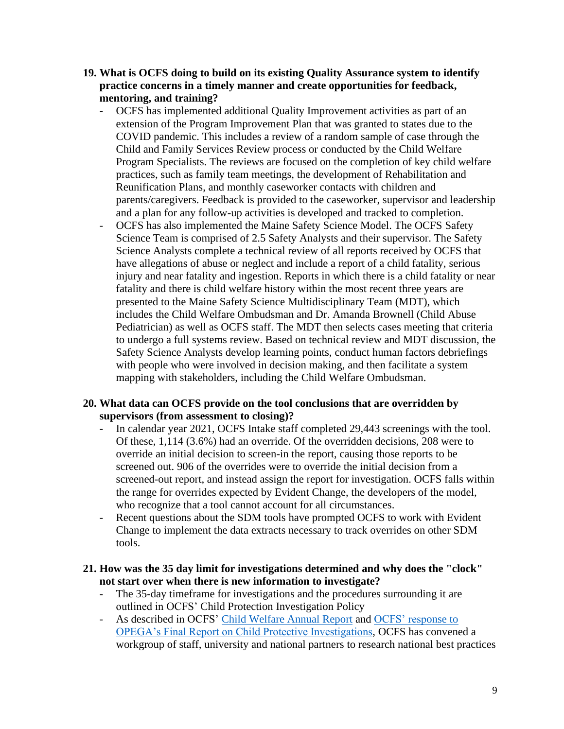- **19. What is OCFS doing to build on its existing Quality Assurance system to identify practice concerns in a timely manner and create opportunities for feedback, mentoring, and training?**
	- OCFS has implemented additional Quality Improvement activities as part of an extension of the Program Improvement Plan that was granted to states due to the COVID pandemic. This includes a review of a random sample of case through the Child and Family Services Review process or conducted by the Child Welfare Program Specialists. The reviews are focused on the completion of key child welfare practices, such as family team meetings, the development of Rehabilitation and Reunification Plans, and monthly caseworker contacts with children and parents/caregivers. Feedback is provided to the caseworker, supervisor and leadership and a plan for any follow-up activities is developed and tracked to completion.
	- OCFS has also implemented the Maine Safety Science Model. The OCFS Safety Science Team is comprised of 2.5 Safety Analysts and their supervisor. The Safety Science Analysts complete a technical review of all reports received by OCFS that have allegations of abuse or neglect and include a report of a child fatality, serious injury and near fatality and ingestion. Reports in which there is a child fatality or near fatality and there is child welfare history within the most recent three years are presented to the Maine Safety Science Multidisciplinary Team (MDT), which includes the Child Welfare Ombudsman and Dr. Amanda Brownell (Child Abuse Pediatrician) as well as OCFS staff. The MDT then selects cases meeting that criteria to undergo a full systems review. Based on technical review and MDT discussion, the Safety Science Analysts develop learning points, conduct human factors debriefings with people who were involved in decision making, and then facilitate a system mapping with stakeholders, including the Child Welfare Ombudsman.

## **20. What data can OCFS provide on the tool conclusions that are overridden by supervisors (from assessment to closing)?**

- In calendar year 2021, OCFS Intake staff completed 29,443 screenings with the tool. Of these, 1,114 (3.6%) had an override. Of the overridden decisions, 208 were to override an initial decision to screen-in the report, causing those reports to be screened out. 906 of the overrides were to override the initial decision from a screened-out report, and instead assign the report for investigation. OCFS falls within the range for overrides expected by Evident Change, the developers of the model, who recognize that a tool cannot account for all circumstances.
- Recent questions about the SDM tools have prompted OCFS to work with Evident Change to implement the data extracts necessary to track overrides on other SDM tools.

### **21. How was the 35 day limit for investigations determined and why does the "clock" not start over when there is new information to investigate?**

- The 35-day time frame for investigations and the procedures surrounding it are outlined in OCFS' Child Protection Investigation Policy
- As described in OCFS' [Child Welfare Annual Report](https://www.maine.gov/dhhs/sites/maine.gov.dhhs/files/inline-files/2021%20Child%20Welfare%20Annual%20Report.pdf) and [OCFS' response to](https://legislature.maine.gov/doc/8493)  [OPEGA's Final Report on Child Protective Investigations,](https://legislature.maine.gov/doc/8493) OCFS has convened a workgroup of staff, university and national partners to research national best practices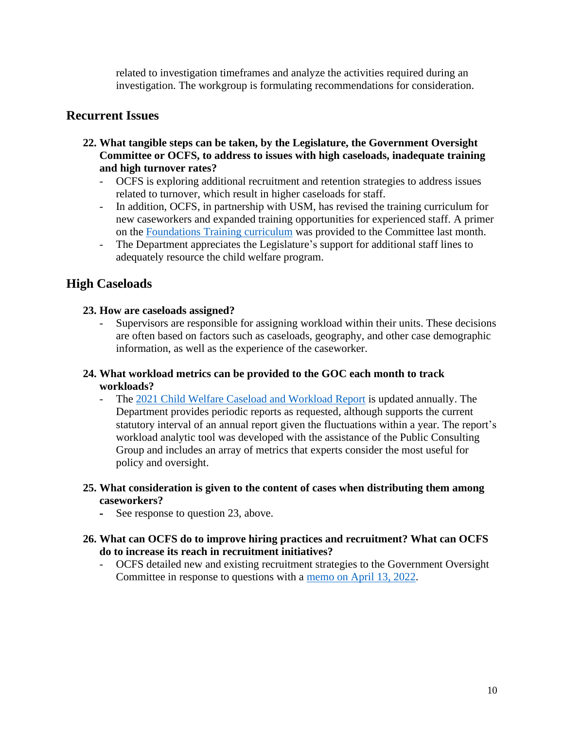related to investigation timeframes and analyze the activities required during an investigation. The workgroup is formulating recommendations for consideration.

# **Recurrent Issues**

- **22. What tangible steps can be taken, by the Legislature, the Government Oversight Committee or OCFS, to address to issues with high caseloads, inadequate training and high turnover rates?**
	- OCFS is exploring additional recruitment and retention strategies to address issues related to turnover, which result in higher caseloads for staff.
	- In addition, OCFS, in partnership with USM, has revised the training curriculum for new caseworkers and expanded training opportunities for experienced staff. A primer on the [Foundations Training curriculum](https://legislature.maine.gov/doc/8547) was provided to the Committee last month.
	- The Department appreciates the Legislature's support for additional staff lines to adequately resource the child welfare program.

# **High Caseloads**

## **23. How are caseloads assigned?**

- Supervisors are responsible for assigning workload within their units. These decisions are often based on factors such as caseloads, geography, and other case demographic information, as well as the experience of the caseworker.

## **24. What workload metrics can be provided to the GOC each month to track workloads?**

- The [2021 Child Welfare Caseload and Workload Report](https://www.maine.gov/dhhs/sites/maine.gov.dhhs/files/inline-files/2021%20OCFS%20Workload%20Report.pdf) is updated annually. The Department provides periodic reports as requested, although supports the current statutory interval of an annual report given the fluctuations within a year. The report's workload analytic tool was developed with the assistance of the Public Consulting Group and includes an array of metrics that experts consider the most useful for policy and oversight.
- **25. What consideration is given to the content of cases when distributing them among caseworkers?**
	- See response to question 23, above.

## **26. What can OCFS do to improve hiring practices and recruitment? What can OCFS do to increase its reach in recruitment initiatives?**

- OCFS detailed new and existing recruitment strategies to the Government Oversight Committee in response to questions with a [memo on April 13, 2022.](https://legislature.maine.gov/doc/8546)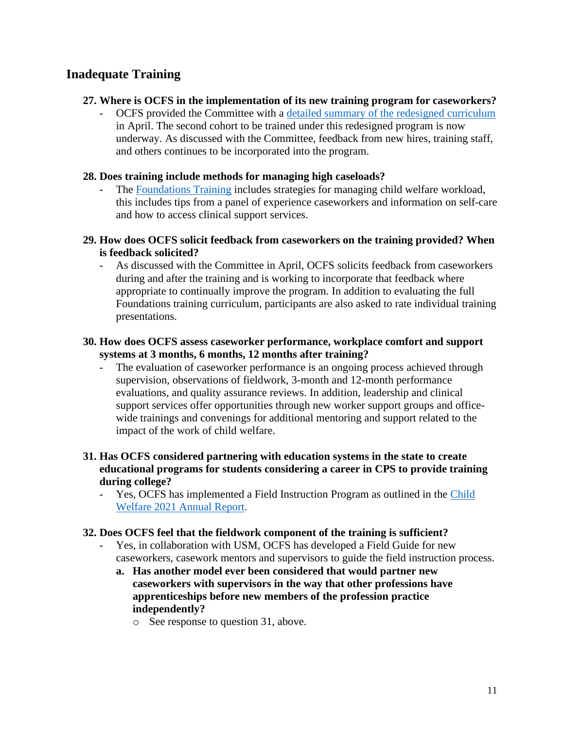# **Inadequate Training**

### **27. Where is OCFS in the implementation of its new training program for caseworkers?**

- OCFS provided the Committee with a [detailed summary of the redesigned curriculum](https://legislature.maine.gov/doc/8547) in April. The second cohort to be trained under this redesigned program is now underway. As discussed with the Committee, feedback from new hires, training staff, and others continues to be incorporated into the program.

### **28. Does training include methods for managing high caseloads?**

- The [Foundations Training](https://legislature.maine.gov/doc/8547) includes strategies for managing child welfare workload, this includes tips from a panel of experience caseworkers and information on self-care and how to access clinical support services.
- **29. How does OCFS solicit feedback from caseworkers on the training provided? When is feedback solicited?**
	- As discussed with the Committee in April, OCFS solicits feedback from caseworkers during and after the training and is working to incorporate that feedback where appropriate to continually improve the program. In addition to evaluating the full Foundations training curriculum, participants are also asked to rate individual training presentations.
- **30. How does OCFS assess caseworker performance, workplace comfort and support systems at 3 months, 6 months, 12 months after training?**
	- The evaluation of caseworker performance is an ongoing process achieved through supervision, observations of fieldwork, 3-month and 12-month performance evaluations, and quality assurance reviews. In addition, leadership and clinical support services offer opportunities through new worker support groups and officewide trainings and convenings for additional mentoring and support related to the impact of the work of child welfare.

## **31. Has OCFS considered partnering with education systems in the state to create educational programs for students considering a career in CPS to provide training during college?**

- Yes, OCFS has implemented a Field Instruction Program as outlined in the Child [Welfare 2021 Annual Report](https://www.maine.gov/dhhs/sites/maine.gov.dhhs/files/inline-files/2021%20Child%20Welfare%20Annual%20Report.pdf).

#### **32. Does OCFS feel that the fieldwork component of the training is sufficient?**

- Yes, in collaboration with USM, OCFS has developed a Field Guide for new caseworkers, casework mentors and supervisors to guide the field instruction process.
	- **a. Has another model ever been considered that would partner new caseworkers with supervisors in the way that other professions have apprenticeships before new members of the profession practice independently?**
		- o See response to question 31, above.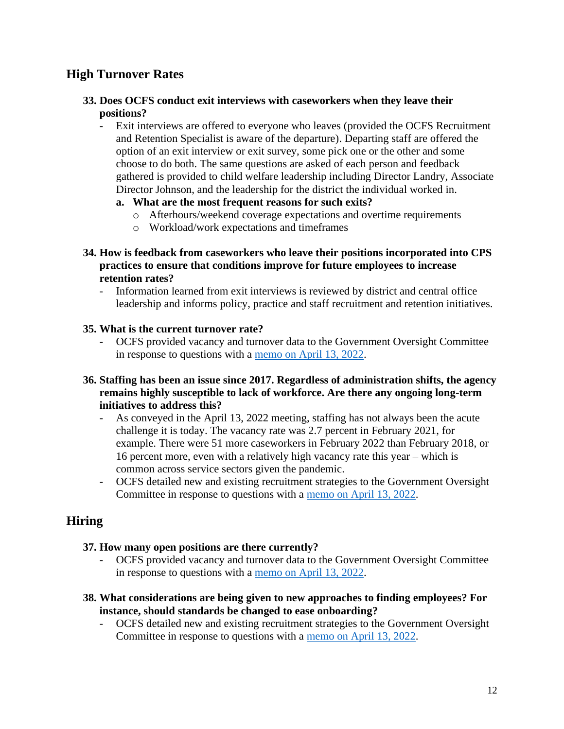# **High Turnover Rates**

### **33. Does OCFS conduct exit interviews with caseworkers when they leave their positions?**

- Exit interviews are offered to everyone who leaves (provided the OCFS Recruitment and Retention Specialist is aware of the departure). Departing staff are offered the option of an exit interview or exit survey, some pick one or the other and some choose to do both. The same questions are asked of each person and feedback gathered is provided to child welfare leadership including Director Landry, Associate Director Johnson, and the leadership for the district the individual worked in.
	- **a. What are the most frequent reasons for such exits?**
		- o Afterhours/weekend coverage expectations and overtime requirements
		- o Workload/work expectations and timeframes
- **34. How is feedback from caseworkers who leave their positions incorporated into CPS practices to ensure that conditions improve for future employees to increase retention rates?**
	- Information learned from exit interviews is reviewed by district and central office leadership and informs policy, practice and staff recruitment and retention initiatives.

### **35. What is the current turnover rate?**

- OCFS provided vacancy and turnover data to the Government Oversight Committee in response to questions with a [memo on April 13, 2022.](https://legislature.maine.gov/doc/8546)
- **36. Staffing has been an issue since 2017. Regardless of administration shifts, the agency remains highly susceptible to lack of workforce. Are there any ongoing long-term initiatives to address this?**
	- As conveyed in the April 13, 2022 meeting, staffing has not always been the acute challenge it is today. The vacancy rate was 2.7 percent in February 2021, for example. There were 51 more caseworkers in February 2022 than February 2018, or 16 percent more, even with a relatively high vacancy rate this year – which is common across service sectors given the pandemic.
	- OCFS detailed new and existing recruitment strategies to the Government Oversight Committee in response to questions with a [memo on April 13, 2022.](https://legislature.maine.gov/doc/8546)

## **Hiring**

#### **37. How many open positions are there currently?**

- OCFS provided vacancy and turnover data to the Government Oversight Committee in response to questions with a [memo on April 13, 2022.](https://legislature.maine.gov/doc/8546)
- **38. What considerations are being given to new approaches to finding employees? For instance, should standards be changed to ease onboarding?**
	- OCFS detailed new and existing recruitment strategies to the Government Oversight Committee in response to questions with a [memo on April 13, 2022.](https://legislature.maine.gov/doc/8546)